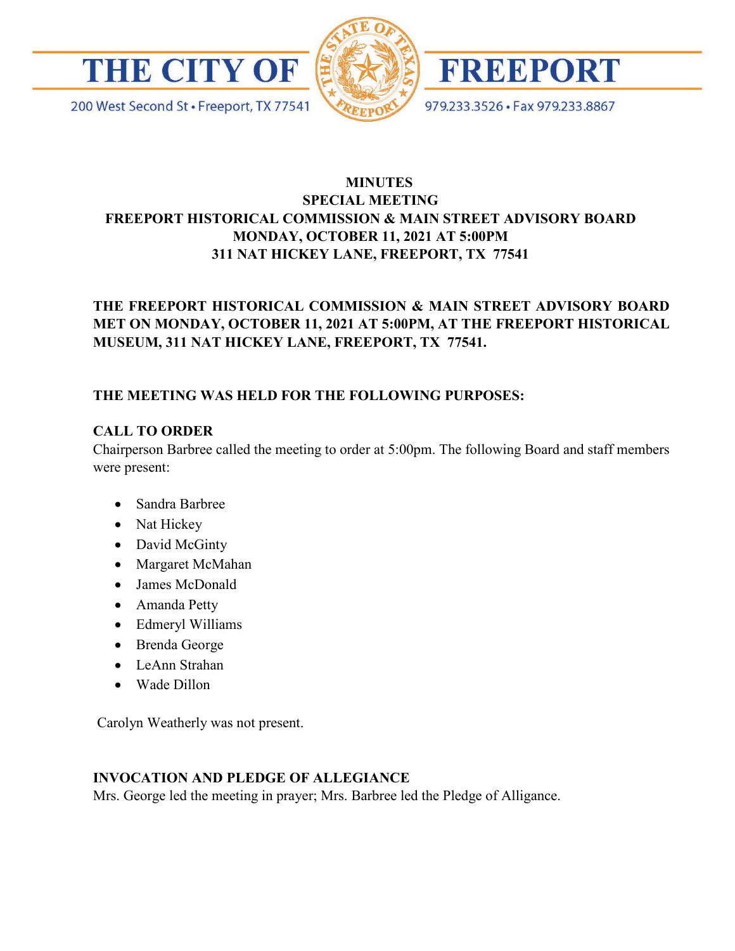





979.233.3526 · Fax 979.233.8867

200 West Second St · Freeport, TX 77541

## **MINUTES SPECIAL MEETING FREEPORT HISTORICAL COMMISSION & MAIN STREET ADVISORY BOARD MONDAY, OCTOBER 11, 2021 AT 5:00PM 311 NAT HICKEY LANE, FREEPORT, TX 77541**

# **THE FREEPORT HISTORICAL COMMISSION & MAIN STREET ADVISORY BOARD MET ON MONDAY, OCTOBER 11, 2021 AT 5:00PM, AT THE FREEPORT HISTORICAL MUSEUM, 311 NAT HICKEY LANE, FREEPORT, TX 77541.**

# **THE MEETING WAS HELD FOR THE FOLLOWING PURPOSES:**

## **CALL TO ORDER**

Chairperson Barbree called the meeting to order at 5:00pm. The following Board and staff members were present:

- Sandra Barbree
- Nat Hickey
- David McGinty
- Margaret McMahan
- James McDonald
- Amanda Petty
- Edmeryl Williams
- Brenda George
- LeAnn Strahan
- Wade Dillon

Carolyn Weatherly was not present.

# **INVOCATION AND PLEDGE OF ALLEGIANCE**

Mrs. George led the meeting in prayer; Mrs. Barbree led the Pledge of Alligance.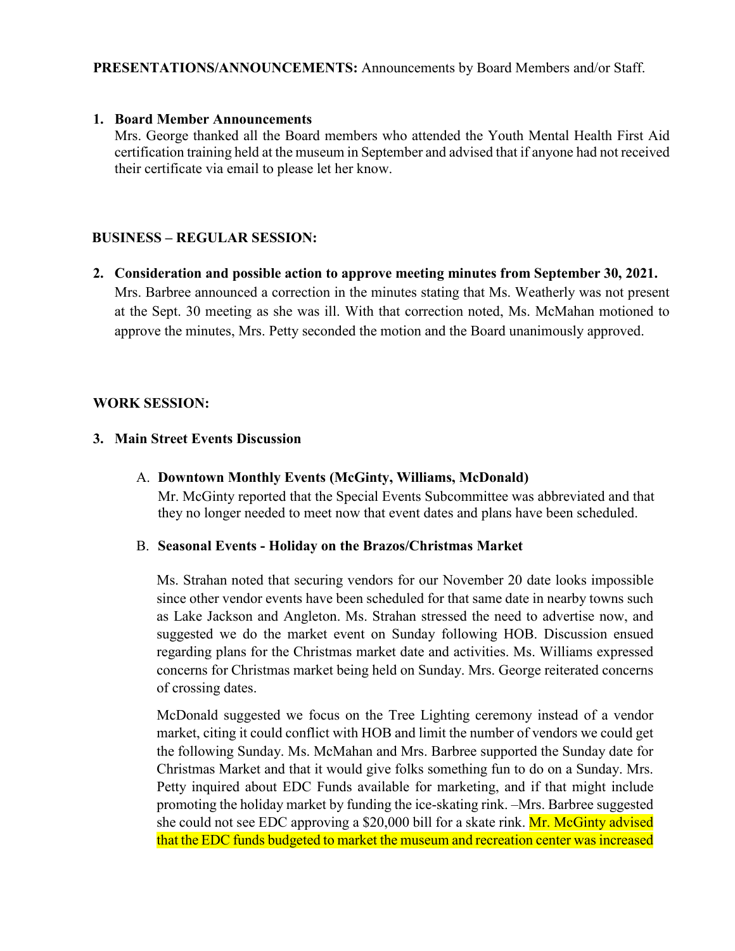### **1. Board Member Announcements**

Mrs. George thanked all the Board members who attended the Youth Mental Health First Aid certification training held at the museum in September and advised that if anyone had not received their certificate via email to please let her know.

### **BUSINESS – REGULAR SESSION:**

**2. Consideration and possible action to approve meeting minutes from September 30, 2021.**  Mrs. Barbree announced a correction in the minutes stating that Ms. Weatherly was not present at the Sept. 30 meeting as she was ill. With that correction noted, Ms. McMahan motioned to approve the minutes, Mrs. Petty seconded the motion and the Board unanimously approved.

### **WORK SESSION:**

### **3. Main Street Events Discussion**

A. **Downtown Monthly Events (McGinty, Williams, McDonald)**  Mr. McGinty reported that the Special Events Subcommittee was abbreviated and that they no longer needed to meet now that event dates and plans have been scheduled.

#### B. **Seasonal Events - Holiday on the Brazos/Christmas Market**

Ms. Strahan noted that securing vendors for our November 20 date looks impossible since other vendor events have been scheduled for that same date in nearby towns such as Lake Jackson and Angleton. Ms. Strahan stressed the need to advertise now, and suggested we do the market event on Sunday following HOB. Discussion ensued regarding plans for the Christmas market date and activities. Ms. Williams expressed concerns for Christmas market being held on Sunday. Mrs. George reiterated concerns of crossing dates.

McDonald suggested we focus on the Tree Lighting ceremony instead of a vendor market, citing it could conflict with HOB and limit the number of vendors we could get the following Sunday. Ms. McMahan and Mrs. Barbree supported the Sunday date for Christmas Market and that it would give folks something fun to do on a Sunday. Mrs. Petty inquired about EDC Funds available for marketing, and if that might include promoting the holiday market by funding the ice-skating rink. –Mrs. Barbree suggested she could not see EDC approving a \$20,000 bill for a skate rink. Mr. McGinty advised that the EDC funds budgeted to market the museum and recreation center was increased